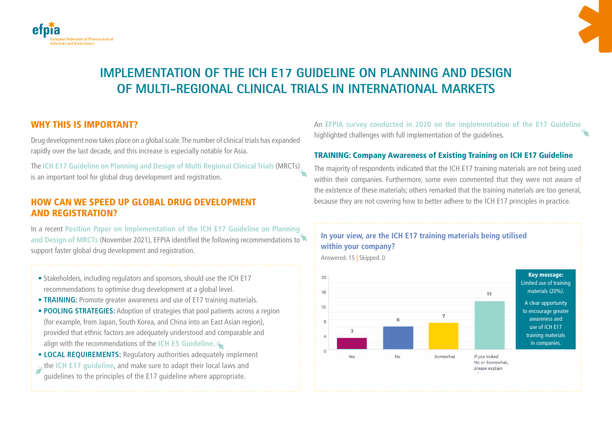



# **IMPLEMENTATION OF THE ICH E17 GUIDELINE ON PLANNING AND DESIGN OF MULTI-REGIONAL CLINICAL TRIALS IN INTERNATIONAL MARKETS**

## WHY THIS IS IMPORTANT?

Drug development now takes place on a global scale. The number of clinical trials has expanded rapidly over the last decade, and this increase is especially notable for Asia.

The **[ICH E17 Guideline on Planning and Design of Multi Regional Clinical Trials](https://database.ich.org/sites/default/files/E17EWG_Step4_2017_1116.pdf)** (MRCTs) is an important tool for global drug development and registration.

## HOW CAN WE SPEED UP GLOBAL DRUG DEVELOPMENT AND REGISTRATION?

In a recent **[Position Paper on Implementation of the ICH E17 Guideline on Planning](https://efpia.eu/media/636452/efpia-ich-e17-position-paper_final-november-2021.pdf)**  [and Design of MRCTs](https://efpia.eu/media/636452/efpia-ich-e17-position-paper_final-november-2021.pdf) (November 2021), EFPIA identified the following recommendations to support faster global drug development and registration.

- Stakeholders, including regulators and sponsors, should use the ICH E17 recommendations to optimise drug development at a global level.
- **TRAINING:** Promote greater awareness and use of E17 training materials.
- **POOLING STRATEGIES:** Adoption of strategies that pool patients across a region (for example, from Japan, South Korea, and China into an East Asian region), provided that ethnic factors are adequately understood and comparable and align with the recommendations of the **[ICH E5 Guideline](https://database.ich.org/sites/default/files/E5_R1__Guideline.pdf)**.
- **LOCAL REQUIREMENTS:** Regulatory authorities adequately implement the **[ICH E17 guideline](https://database.ich.org/sites/default/files/E17EWG_Step4_2017_1116.pdf)**, and make sure to adapt their local laws and guidelines to the principles of the E17 guideline where appropriate.

An **[EFPIA survey conducted in 2020 on the implementation of the E17 Guideline](https://globalforum.diaglobal.org/issue/june-2021/industry-survey-on-implementation-of-ich-e17-guideline/)**  highlighted challenges with full implementation of the guidelines.

### TRAINING: Company Awareness of Existing Training on ICH E17 Guideline

The majority of respondents indicated that the ICH E17 training materials are not being used within their companies. Furthermore, some even commented that they were not aware of the existence of these materials; others remarked that the training materials are too general, because they are not covering how to better adhere to the ICH E17 principles in practice.

# **In your view, are the ICH E17 training materials being utilised within your company?**

Answered: 15 | Skipped: 0